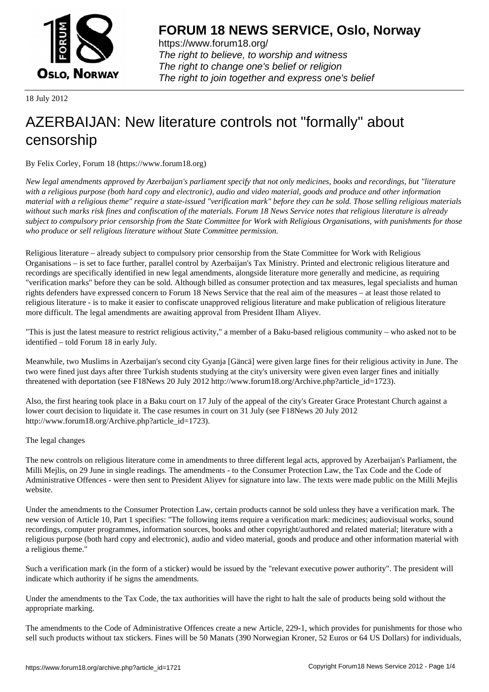

https://www.forum18.org/ The right to believe, to worship and witness The right to change one's belief or religion [The right to join together a](https://www.forum18.org/)nd express one's belief

18 July 2012

## [AZERBAIJAN: N](https://www.forum18.org)ew literature controls not "formally" about censorship

By Felix Corley, Forum 18 (https://www.forum18.org)

*New legal amendments approved by Azerbaijan's parliament specify that not only medicines, books and recordings, but "literature with a religious purpose (both hard copy and electronic), audio and video material, goods and produce and other information material with a religious theme" require a state-issued "verification mark" before they can be sold. Those selling religious materials without such marks risk fines and confiscation of the materials. Forum 18 News Service notes that religious literature is already subject to compulsory prior censorship from the State Committee for Work with Religious Organisations, with punishments for those who produce or sell religious literature without State Committee permission.*

Religious literature – already subject to compulsory prior censorship from the State Committee for Work with Religious Organisations – is set to face further, parallel control by Azerbaijan's Tax Ministry. Printed and electronic religious literature and recordings are specifically identified in new legal amendments, alongside literature more generally and medicine, as requiring "verification marks" before they can be sold. Although billed as consumer protection and tax measures, legal specialists and human rights defenders have expressed concern to Forum 18 News Service that the real aim of the measures – at least those related to religious literature - is to make it easier to confiscate unapproved religious literature and make publication of religious literature more difficult. The legal amendments are awaiting approval from President Ilham Aliyev.

"This is just the latest measure to restrict religious activity," a member of a Baku-based religious community – who asked not to be identified – told Forum 18 in early July.

Meanwhile, two Muslims in Azerbaijan's second city Gyanja [Gäncä] were given large fines for their religious activity in June. The two were fined just days after three Turkish students studying at the city's university were given even larger fines and initially threatened with deportation (see F18News 20 July 2012 http://www.forum18.org/Archive.php?article\_id=1723).

Also, the first hearing took place in a Baku court on 17 July of the appeal of the city's Greater Grace Protestant Church against a lower court decision to liquidate it. The case resumes in court on 31 July (see F18News 20 July 2012 http://www.forum18.org/Archive.php?article\_id=1723).

The legal changes

The new controls on religious literature come in amendments to three different legal acts, approved by Azerbaijan's Parliament, the Milli Mejlis, on 29 June in single readings. The amendments - to the Consumer Protection Law, the Tax Code and the Code of Administrative Offences - were then sent to President Aliyev for signature into law. The texts were made public on the Milli Mejlis website.

Under the amendments to the Consumer Protection Law, certain products cannot be sold unless they have a verification mark. The new version of Article 10, Part 1 specifies: "The following items require a verification mark: medicines; audiovisual works, sound recordings, computer programmes, information sources, books and other copyright/authored and related material; literature with a religious purpose (both hard copy and electronic), audio and video material, goods and produce and other information material with a religious theme."

Such a verification mark (in the form of a sticker) would be issued by the "relevant executive power authority". The president will indicate which authority if he signs the amendments.

Under the amendments to the Tax Code, the tax authorities will have the right to halt the sale of products being sold without the appropriate marking.

The amendments to the Code of Administrative Offences create a new Article, 229-1, which provides for punishments for those who sell such products without tax stickers. Fines will be 50 Manats (390 Norwegian Kroner, 52 Euros or 64 US Dollars) for individuals,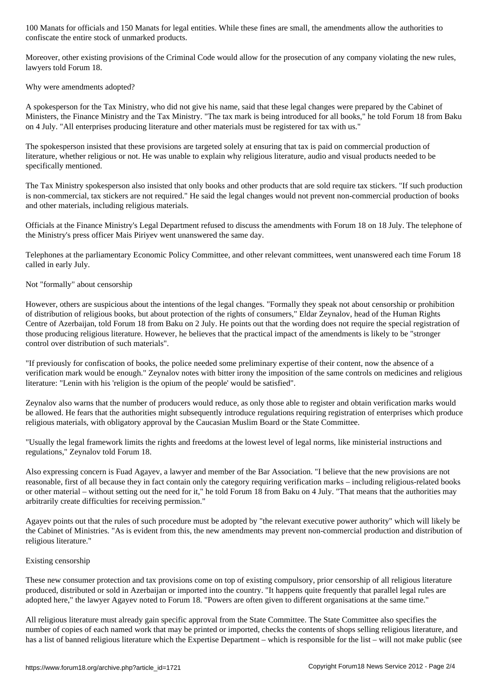Moreover, other existing provisions of the Criminal Code would allow for the prosecution of any company violating the new rules, lawyers told Forum 18.

Why were amendments adopted?

confiscate the entire stock of unmarked products. The entire stock of unmarked products. The entire stock of u

A spokesperson for the Tax Ministry, who did not give his name, said that these legal changes were prepared by the Cabinet of Ministers, the Finance Ministry and the Tax Ministry. "The tax mark is being introduced for all books," he told Forum 18 from Baku on 4 July. "All enterprises producing literature and other materials must be registered for tax with us."

The spokesperson insisted that these provisions are targeted solely at ensuring that tax is paid on commercial production of literature, whether religious or not. He was unable to explain why religious literature, audio and visual products needed to be specifically mentioned.

The Tax Ministry spokesperson also insisted that only books and other products that are sold require tax stickers. "If such production is non-commercial, tax stickers are not required." He said the legal changes would not prevent non-commercial production of books and other materials, including religious materials.

Officials at the Finance Ministry's Legal Department refused to discuss the amendments with Forum 18 on 18 July. The telephone of the Ministry's press officer Mais Piriyev went unanswered the same day.

Telephones at the parliamentary Economic Policy Committee, and other relevant committees, went unanswered each time Forum 18 called in early July.

## Not "formally" about censorship

However, others are suspicious about the intentions of the legal changes. "Formally they speak not about censorship or prohibition of distribution of religious books, but about protection of the rights of consumers," Eldar Zeynalov, head of the Human Rights Centre of Azerbaijan, told Forum 18 from Baku on 2 July. He points out that the wording does not require the special registration of those producing religious literature. However, he believes that the practical impact of the amendments is likely to be "stronger control over distribution of such materials".

"If previously for confiscation of books, the police needed some preliminary expertise of their content, now the absence of a verification mark would be enough." Zeynalov notes with bitter irony the imposition of the same controls on medicines and religious literature: "Lenin with his 'religion is the opium of the people' would be satisfied".

Zeynalov also warns that the number of producers would reduce, as only those able to register and obtain verification marks would be allowed. He fears that the authorities might subsequently introduce regulations requiring registration of enterprises which produce religious materials, with obligatory approval by the Caucasian Muslim Board or the State Committee.

"Usually the legal framework limits the rights and freedoms at the lowest level of legal norms, like ministerial instructions and regulations," Zeynalov told Forum 18.

Also expressing concern is Fuad Agayev, a lawyer and member of the Bar Association. "I believe that the new provisions are not reasonable, first of all because they in fact contain only the category requiring verification marks – including religious-related books or other material – without setting out the need for it," he told Forum 18 from Baku on 4 July. "That means that the authorities may arbitrarily create difficulties for receiving permission."

Agayev points out that the rules of such procedure must be adopted by "the relevant executive power authority" which will likely be the Cabinet of Ministries. "As is evident from this, the new amendments may prevent non-commercial production and distribution of religious literature."

## Existing censorship

These new consumer protection and tax provisions come on top of existing compulsory, prior censorship of all religious literature produced, distributed or sold in Azerbaijan or imported into the country. "It happens quite frequently that parallel legal rules are adopted here," the lawyer Agayev noted to Forum 18. "Powers are often given to different organisations at the same time."

All religious literature must already gain specific approval from the State Committee. The State Committee also specifies the number of copies of each named work that may be printed or imported, checks the contents of shops selling religious literature, and has a list of banned religious literature which the Expertise Department – which is responsible for the list – will not make public (see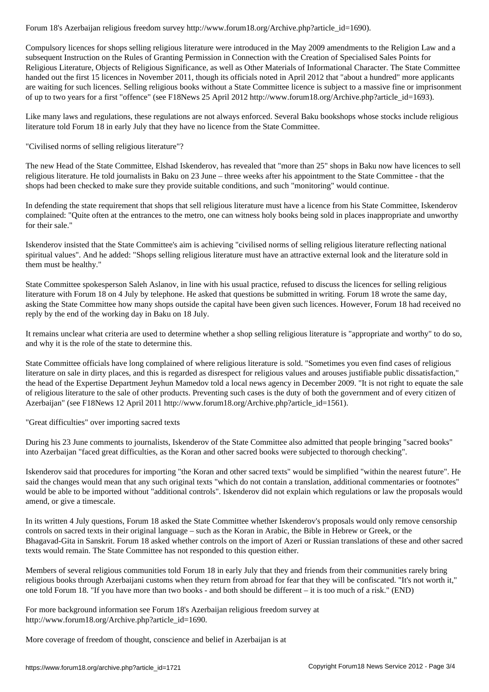Compulsory licences for shops selling religious literature were introduced in the May 2009 amendments to the Religion Law and a subsequent Instruction on the Rules of Granting Permission in Connection with the Creation of Specialised Sales Points for Religious Literature, Objects of Religious Significance, as well as Other Materials of Informational Character. The State Committee handed out the first 15 licences in November 2011, though its officials noted in April 2012 that "about a hundred" more applicants are waiting for such licences. Selling religious books without a State Committee licence is subject to a massive fine or imprisonment of up to two years for a first "offence" (see F18News 25 April 2012 http://www.forum18.org/Archive.php?article\_id=1693).

Like many laws and regulations, these regulations are not always enforced. Several Baku bookshops whose stocks include religious literature told Forum 18 in early July that they have no licence from the State Committee.

"Civilised norms of selling religious literature"?

The new Head of the State Committee, Elshad Iskenderov, has revealed that "more than 25" shops in Baku now have licences to sell religious literature. He told journalists in Baku on 23 June – three weeks after his appointment to the State Committee - that the shops had been checked to make sure they provide suitable conditions, and such "monitoring" would continue.

In defending the state requirement that shops that sell religious literature must have a licence from his State Committee, Iskenderov complained: "Quite often at the entrances to the metro, one can witness holy books being sold in places inappropriate and unworthy for their sale."

Iskenderov insisted that the State Committee's aim is achieving "civilised norms of selling religious literature reflecting national spiritual values". And he added: "Shops selling religious literature must have an attractive external look and the literature sold in them must be healthy."

State Committee spokesperson Saleh Aslanov, in line with his usual practice, refused to discuss the licences for selling religious literature with Forum 18 on 4 July by telephone. He asked that questions be submitted in writing. Forum 18 wrote the same day, asking the State Committee how many shops outside the capital have been given such licences. However, Forum 18 had received no reply by the end of the working day in Baku on 18 July.

It remains unclear what criteria are used to determine whether a shop selling religious literature is "appropriate and worthy" to do so, and why it is the role of the state to determine this.

State Committee officials have long complained of where religious literature is sold. "Sometimes you even find cases of religious literature on sale in dirty places, and this is regarded as disrespect for religious values and arouses justifiable public dissatisfaction," the head of the Expertise Department Jeyhun Mamedov told a local news agency in December 2009. "It is not right to equate the sale of religious literature to the sale of other products. Preventing such cases is the duty of both the government and of every citizen of Azerbaijan" (see F18News 12 April 2011 http://www.forum18.org/Archive.php?article\_id=1561).

"Great difficulties" over importing sacred texts

During his 23 June comments to journalists, Iskenderov of the State Committee also admitted that people bringing "sacred books" into Azerbaijan "faced great difficulties, as the Koran and other sacred books were subjected to thorough checking".

Iskenderov said that procedures for importing "the Koran and other sacred texts" would be simplified "within the nearest future". He said the changes would mean that any such original texts "which do not contain a translation, additional commentaries or footnotes" would be able to be imported without "additional controls". Iskenderov did not explain which regulations or law the proposals would amend, or give a timescale.

In its written 4 July questions, Forum 18 asked the State Committee whether Iskenderov's proposals would only remove censorship controls on sacred texts in their original language – such as the Koran in Arabic, the Bible in Hebrew or Greek, or the Bhagavad-Gita in Sanskrit. Forum 18 asked whether controls on the import of Azeri or Russian translations of these and other sacred texts would remain. The State Committee has not responded to this question either.

Members of several religious communities told Forum 18 in early July that they and friends from their communities rarely bring religious books through Azerbaijani customs when they return from abroad for fear that they will be confiscated. "It's not worth it," one told Forum 18. "If you have more than two books - and both should be different – it is too much of a risk." (END)

For more background information see Forum 18's Azerbaijan religious freedom survey at http://www.forum18.org/Archive.php?article\_id=1690.

More coverage of freedom of thought, conscience and belief in Azerbaijan is at